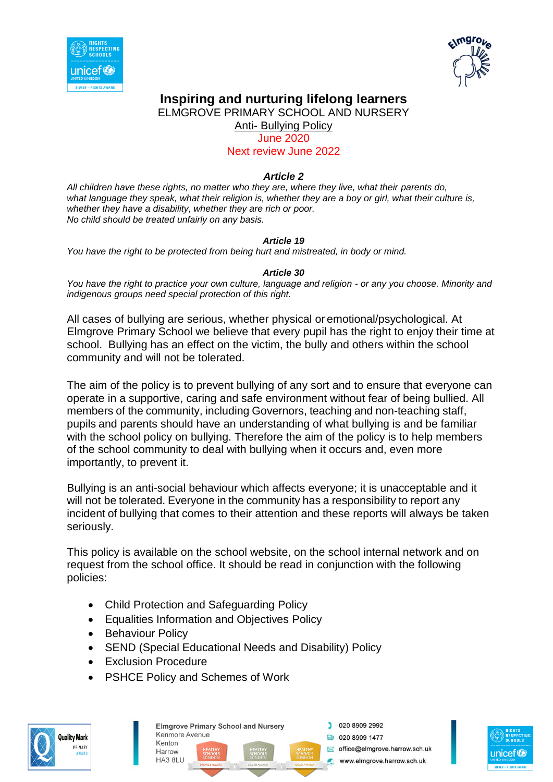



ELMGROVE PRIMARY SCHOOL AND NURSERY

Anti- Bullying Policy

June 2020

Next review June 2022

#### *Article 2*

*All children have these rights, no matter who they are, where they live, what their parents do, what language they speak, what their religion is, whether they are a boy or girl, what their culture is, whether they have a disability, whether they are rich or poor. No child should be treated unfairly on any basis.*

#### *Article 19*

*You have the right to be protected from being hurt and mistreated, in body or mind.*

#### *Article 30*

*You have the right to practice your own culture, language and religion - or any you choose. Minority and indigenous groups need special protection of this right.*

All cases of bullying are serious, whether physical or emotional/psychological. At Elmgrove Primary School we believe that every pupil has the right to enjoy their time at school. Bullying has an effect on the victim, the bully and others within the school community and will not be tolerated.

The aim of the policy is to prevent bullying of any sort and to ensure that everyone can operate in a supportive, caring and safe environment without fear of being bullied. All members of the community, including Governors, teaching and non-teaching staff, pupils and parents should have an understanding of what bullying is and be familiar with the school policy on bullying. Therefore the aim of the policy is to help members of the school community to deal with bullying when it occurs and, even more importantly, to prevent it.

Bullying is an anti-social behaviour which affects everyone; it is unacceptable and it will not be tolerated. Everyone in the community has a responsibility to report any incident of bullying that comes to their attention and these reports will always be taken seriously.

This policy is available on the school website, on the school internal network and on request from the school office. It should be read in conjunction with the following policies:

- Child Protection and Safeguarding Policy
- Equalities Information and Objectives Policy
- Behaviour Policy
- SEND (Special Educational Needs and Disability) Policy
- Exclusion Procedure
- PSHCE Policy and Schemes of Work





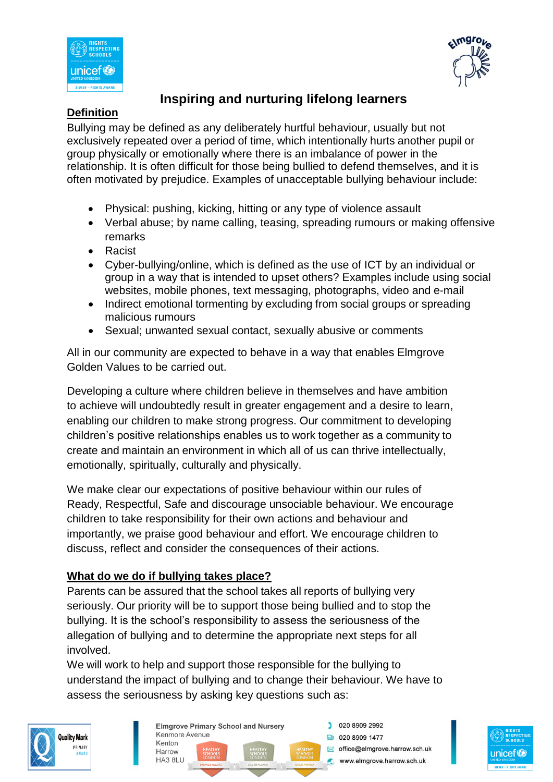



### **Definition**

Bullying may be defined as any deliberately hurtful behaviour, usually but not exclusively repeated over a period of time, which intentionally hurts another pupil or group physically or emotionally where there is an imbalance of power in the relationship. It is often difficult for those being bullied to defend themselves, and it is often motivated by prejudice. Examples of unacceptable bullying behaviour include:

- Physical: pushing, kicking, hitting or any type of violence assault
- Verbal abuse; by name calling, teasing, spreading rumours or making offensive remarks
- Racist
- Cyber-bullying/online, which is defined as the use of ICT by an individual or group in a way that is intended to upset others? Examples include using social websites, mobile phones, text messaging, photographs, video and e-mail
- Indirect emotional tormenting by excluding from social groups or spreading malicious rumours
- Sexual; unwanted sexual contact, sexually abusive or comments

All in our community are expected to behave in a way that enables Elmgrove Golden Values to be carried out.

Developing a culture where children believe in themselves and have ambition to achieve will undoubtedly result in greater engagement and a desire to learn, enabling our children to make strong progress. Our commitment to developing children's positive relationships enables us to work together as a community to create and maintain an environment in which all of us can thrive intellectually, emotionally, spiritually, culturally and physically.

We make clear our expectations of positive behaviour within our rules of Ready, Respectful, Safe and discourage unsociable behaviour. We encourage children to take responsibility for their own actions and behaviour and importantly, we praise good behaviour and effort. We encourage children to discuss, reflect and consider the consequences of their actions.

## **What do we do if bullying takes place?**

Parents can be assured that the school takes all reports of bullying very seriously. Our priority will be to support those being bullied and to stop the bullying. It is the school's responsibility to assess the seriousness of the allegation of bullying and to determine the appropriate next steps for all involved.

We will work to help and support those responsible for the bullying to understand the impact of bullying and to change their behaviour. We have to assess the seriousness by asking key questions such as:





**Elmgrove Primary School and Nursery** Kenmore Avenue Kenton Harrow **HA3 8LU** 

020 8909 2992 **ta** 020 8909 1477 office@elmgrove.harrow.sch.uk www.elmgrove.harrow.sch.uk

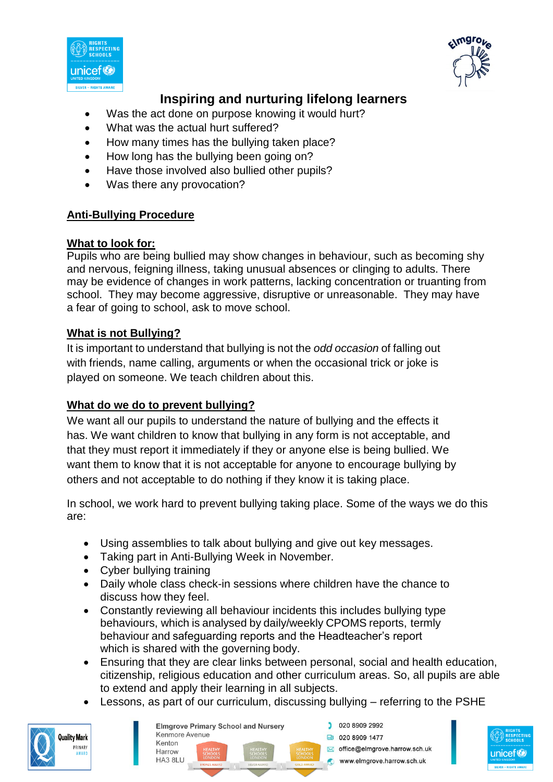



- Was the act done on purpose knowing it would hurt?
- What was the actual hurt suffered?
- How many times has the bullying taken place?
- How long has the bullying been going on?
- Have those involved also bullied other pupils?
- Was there any provocation?

### **Anti-Bullying Procedure**

#### **What to look for:**

Pupils who are being bullied may show changes in behaviour, such as becoming shy and nervous, feigning illness, taking unusual absences or clinging to adults. There may be evidence of changes in work patterns, lacking concentration or truanting from school. They may become aggressive, disruptive or unreasonable. They may have a fear of going to school, ask to move school.

### **What is not Bullying?**

It is important to understand that bullying is not the *odd occasion* of falling out with friends, name calling, arguments or when the occasional trick or joke is played on someone. We teach children about this.

### **What do we do to prevent bullying?**

We want all our pupils to understand the nature of bullying and the effects it has. We want children to know that bullying in any form is not acceptable, and that they must report it immediately if they or anyone else is being bullied. We want them to know that it is not acceptable for anyone to encourage bullying by others and not acceptable to do nothing if they know it is taking place.

In school, we work hard to prevent bullying taking place. Some of the ways we do this are:

- Using assemblies to talk about bullying and give out key messages.
- Taking part in Anti-Bullying Week in November.
- Cyber bullying training
- Daily whole class check-in sessions where children have the chance to discuss how they feel.
- Constantly reviewing all behaviour incidents this includes bullying type behaviours, which is analysed by daily/weekly CPOMS reports, termly behaviour and safeguarding reports and the Headteacher's report which is shared with the governing body.
- Ensuring that they are clear links between personal, social and health education, citizenship, religious education and other curriculum areas. So, all pupils are able to extend and apply their learning in all subjects.
- Lessons, as part of our curriculum, discussing bullying referring to the PSHE



|                  |                                      | <b>Elmgrove Primary School and Nursery</b> |                                    | 020 8909 2992                 |
|------------------|--------------------------------------|--------------------------------------------|------------------------------------|-------------------------------|
| Kenmore Avenue   |                                      |                                            |                                    | 020 8909 1477                 |
| Kenton<br>Harrow | <b>HEALTHY</b><br><b>SCHOOLS</b>     | <b>HEALTHY</b><br>SCHOOLS<br>LONDON        | <b>HEALTHY</b><br><b>SCHOOLS</b>   | office@elmgrove.harrow.sch.uk |
| HA3 8LU          | <b>LONDON</b><br><b>BRONZE AWARD</b> | <b>SILVER AWARD</b>                        | <b>LONDON</b><br><b>GOLD AWARD</b> | www.elmgrove.harrow.sch.uk    |

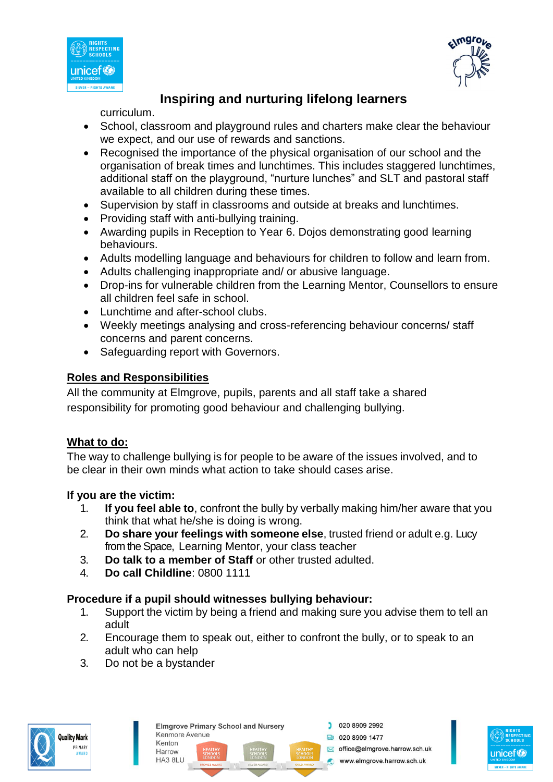



curriculum.

- School, classroom and playground rules and charters make clear the behaviour we expect, and our use of rewards and sanctions.
- Recognised the importance of the physical organisation of our school and the organisation of break times and lunchtimes. This includes staggered lunchtimes, additional staff on the playground, "nurture lunches" and SLT and pastoral staff available to all children during these times.
- Supervision by staff in classrooms and outside at breaks and lunchtimes.
- Providing staff with anti-bullying training.
- Awarding pupils in Reception to Year 6. Dojos demonstrating good learning behaviours.
- Adults modelling language and behaviours for children to follow and learn from.
- Adults challenging inappropriate and/ or abusive language.
- Drop-ins for vulnerable children from the Learning Mentor, Counsellors to ensure all children feel safe in school.
- Lunchtime and after-school clubs.
- Weekly meetings analysing and cross-referencing behaviour concerns/ staff concerns and parent concerns.
- Safeguarding report with Governors.

## **Roles and Responsibilities**

All the community at Elmgrove, pupils, parents and all staff take a shared responsibility for promoting good behaviour and challenging bullying.

## **What to do:**

The way to challenge bullying is for people to be aware of the issues involved, and to be clear in their own minds what action to take should cases arise.

### **If you are the victim:**

- 1. **If you feel able to**, confront the bully by verbally making him/her aware that you think that what he/she is doing is wrong.
- 2. **Do share your feelings with someone else**, trusted friend or adult e.g. Lucy from the Space, Learning Mentor, your class teacher
- 3. **Do talk to a member of Staff** or other trusted adulted.
- 4. **Do call Childline**: 0800 1111

## **Procedure if a pupil should witnesses bullying behaviour:**

- 1. Support the victim by being a friend and making sure you advise them to tell an adult
- 2. Encourage them to speak out, either to confront the bully, or to speak to an adult who can help
- 3. Do not be a bystander





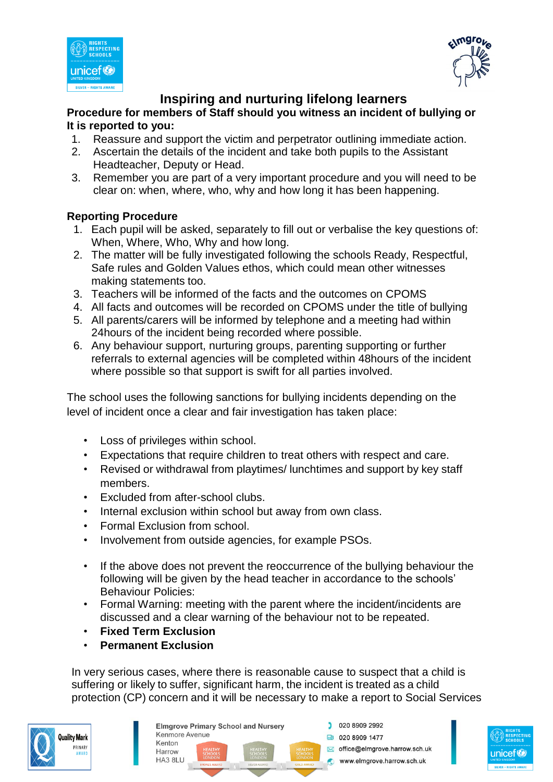



#### **Procedure for members of Staff should you witness an incident of bullying or It is reported to you:**

- 1. Reassure and support the victim and perpetrator outlining immediate action.
- 2. Ascertain the details of the incident and take both pupils to the Assistant Headteacher, Deputy or Head.
- 3. Remember you are part of a very important procedure and you will need to be clear on: when, where, who, why and how long it has been happening.

### **Reporting Procedure**

- 1. Each pupil will be asked, separately to fill out or verbalise the key questions of: When, Where, Who, Why and how long.
- 2. The matter will be fully investigated following the schools Ready, Respectful, Safe rules and Golden Values ethos, which could mean other witnesses making statements too.
- 3. Teachers will be informed of the facts and the outcomes on CPOMS
- 4. All facts and outcomes will be recorded on CPOMS under the title of bullying
- 5. All parents/carers will be informed by telephone and a meeting had within 24hours of the incident being recorded where possible.
- 6. Any behaviour support, nurturing groups, parenting supporting or further referrals to external agencies will be completed within 48hours of the incident where possible so that support is swift for all parties involved.

The school uses the following sanctions for bullying incidents depending on the level of incident once a clear and fair investigation has taken place:

- Loss of privileges within school.
- Expectations that require children to treat others with respect and care.
- Revised or withdrawal from playtimes/ lunchtimes and support by key staff members.
- Excluded from after-school clubs.
- Internal exclusion within school but away from own class.
- Formal Exclusion from school.
- Involvement from outside agencies, for example PSOs.
- If the above does not prevent the reoccurrence of the bullying behaviour the following will be given by the head teacher in accordance to the schools' Behaviour Policies:
- Formal Warning: meeting with the parent where the incident/incidents are discussed and a clear warning of the behaviour not to be repeated.
- **Fixed Term Exclusion**
- **Permanent Exclusion**

In very serious cases, where there is reasonable cause to suspect that a child is suffering or likely to suffer, significant harm, the incident is treated as a child protection (CP) concern and it will be necessary to make a report to Social Services



| <b>Elmgrove Primary School and Nursery</b> |                                      |                                          |                                    |  | 020 8909 2992                 |
|--------------------------------------------|--------------------------------------|------------------------------------------|------------------------------------|--|-------------------------------|
| Kenmore Avenue                             |                                      |                                          |                                    |  | 020 8909 1477                 |
| Kenton<br>Harrow                           | <b>HEALTHY</b><br><b>SCHOOLS</b>     | <b>HEALTHY</b>                           | <b>HEALTHY</b><br><b>SCHOOLS</b>   |  | office@elmgrove.harrow.sch.uk |
| HA3 8LU                                    | <b>LONDON</b><br><b>BRONZE AWARD</b> | SCHOOLS<br>LONDON<br><b>SILVER AWARD</b> | <b>LONDON</b><br><b>GOLD AWARD</b> |  | www.elmgrove.harrow.sch.uk    |